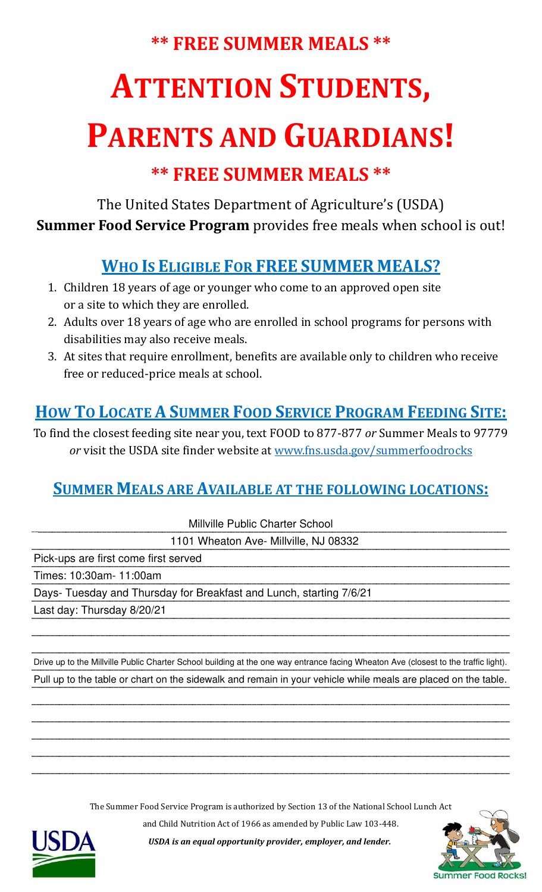### **\*\* FREE SUMMER MEALS \*\***

# **ATTENTION STUDENTS,**

## **PARENTS AND GUARDIANS!**

### **\*\* FREE SUMMER MEALS \*\***

The United States Department of Agriculture's (USDA) **Summer Food Service Program** provides free meals when school is out!

### **WHO IS ELIGIBLE FOR FREE SUMMER MEALS?**

- 1. Children 18 years of age or younger who come to an approved open site or a site to which they are enrolled.
- 2. Adults over 18 years of age who are enrolled in school programs for persons with disabilities may also receive meals.
- 3. At sites that require enrollment, benefits are available only to children who receive free or reduced-price meals at school.

#### **HOW TO LOCATE A SUMMER FOOD SERVICE PROGRAM FEEDING SITE:**

To find the closest feeding site near you, text FOOD to 877-877 *or* Summer Meals to 97779 *or* visit the USDA site finder website at [www.fns.usda.gov/summerfoodrocks](http://www.fns.usda.gov/summerfoodrocks)

#### **SUMMER MEALS ARE AVAILABLE AT THE FOLLOWING LOCATIONS:**

\_\_\_\_\_\_\_\_\_\_\_\_\_\_\_\_\_\_\_\_\_\_\_\_\_\_\_\_\_\_\_\_\_\_\_\_\_\_\_\_\_\_\_\_\_\_\_\_\_\_\_\_\_\_\_\_\_\_\_\_\_\_\_\_\_\_\_\_\_\_\_\_\_\_\_\_\_\_\_\_\_\_\_\_\_\_\_\_\_\_\_\_\_\_\_\_\_\_\_\_\_\_\_\_ Millville Public Charter School

\_\_\_\_\_\_\_\_\_\_\_\_\_\_\_\_\_\_\_\_\_\_\_\_\_\_\_\_\_\_\_\_\_\_\_\_\_\_\_\_\_\_\_\_\_\_\_\_\_\_\_\_\_\_\_\_\_\_\_\_\_\_\_\_\_\_\_\_\_\_\_\_\_\_\_\_\_\_\_\_\_\_\_\_\_\_\_\_\_\_\_\_\_\_\_\_\_\_\_\_\_\_\_\_ 1101 Wheaton Ave- Millville, NJ 08332

\_\_\_\_\_\_\_\_\_\_\_\_\_\_\_\_\_\_\_\_\_\_\_\_\_\_\_\_\_\_\_\_\_\_\_\_\_\_\_\_\_\_\_\_\_\_\_\_\_\_\_\_\_\_\_\_\_\_\_\_\_\_\_\_\_\_\_\_\_\_\_\_\_\_\_\_\_\_\_\_\_\_\_\_\_\_\_\_\_\_\_\_\_\_\_\_\_\_\_\_\_\_\_\_ Pick-ups are first come first served

\_\_\_\_\_\_\_\_\_\_\_\_\_\_\_\_\_\_\_\_\_\_\_\_\_\_\_\_\_\_\_\_\_\_\_\_\_\_\_\_\_\_\_\_\_\_\_\_\_\_\_\_\_\_\_\_\_\_\_\_\_\_\_\_\_\_\_\_\_\_\_\_\_\_\_\_\_\_\_\_\_\_\_\_\_\_\_\_\_\_\_\_\_\_\_\_\_\_\_\_\_\_\_\_ Times: 10:30am- 11:00am

Days- Tuesday and Thursday for Breakfast and Lunch, starting 7/6/21

\_\_\_\_\_\_\_\_\_\_\_\_\_\_\_\_\_\_\_\_\_\_\_\_\_\_\_\_\_\_\_\_\_\_\_\_\_\_\_\_\_\_\_\_\_\_\_\_\_\_\_\_\_\_\_\_\_\_\_\_\_\_\_\_\_\_\_\_\_\_\_\_\_\_\_\_\_\_\_\_\_\_\_\_\_\_\_\_\_\_\_\_\_\_\_\_\_\_\_\_\_\_\_\_ Last day: Thursday 8/20/21

\_\_\_\_\_\_\_\_\_\_\_\_\_\_\_\_\_\_\_\_\_\_\_\_\_\_\_\_\_\_\_\_\_\_\_\_\_\_\_\_\_\_\_\_\_\_\_\_\_\_\_\_\_\_\_\_\_\_\_\_\_\_\_\_\_\_\_\_\_\_\_\_\_\_\_\_\_\_\_\_\_\_\_\_\_\_\_\_\_\_\_\_\_\_\_\_\_\_\_\_\_\_\_\_ Drive up to the Millville Public Charter School building at the one way entrance facing Wheaton Ave (closest to the traffic light).<br>— Pull up to the table or chart on the sidewalk and remain in your vehicle while meals are placed on the table.

\_\_\_\_\_\_\_\_\_\_\_\_\_\_\_\_\_\_\_\_\_\_\_\_\_\_\_\_\_\_\_\_\_\_\_\_\_\_\_\_\_\_\_\_\_\_\_\_\_\_\_\_\_\_\_\_\_\_\_\_\_\_\_\_\_\_\_\_\_\_\_\_\_\_\_\_\_\_\_\_\_\_\_\_\_\_\_\_\_\_\_\_\_\_\_\_\_\_\_\_\_\_\_\_ \_\_\_\_\_\_\_\_\_\_\_\_\_\_\_\_\_\_\_\_\_\_\_\_\_\_\_\_\_\_\_\_\_\_\_\_\_\_\_\_\_\_\_\_\_\_\_\_\_\_\_\_\_\_\_\_\_\_\_\_\_\_\_\_\_\_\_\_\_\_\_\_\_\_\_\_\_\_\_\_\_\_\_\_\_\_\_\_\_\_\_\_\_\_\_\_\_\_\_\_\_\_\_\_ \_\_\_\_\_\_\_\_\_\_\_\_\_\_\_\_\_\_\_\_\_\_\_\_\_\_\_\_\_\_\_\_\_\_\_\_\_\_\_\_\_\_\_\_\_\_\_\_\_\_\_\_\_\_\_\_\_\_\_\_\_\_\_\_\_\_\_\_\_\_\_\_\_\_\_\_\_\_\_\_\_\_\_\_\_\_\_\_\_\_\_\_\_\_\_\_\_\_\_\_\_\_\_\_ \_\_\_\_\_\_\_\_\_\_\_\_\_\_\_\_\_\_\_\_\_\_\_\_\_\_\_\_\_\_\_\_\_\_\_\_\_\_\_\_\_\_\_\_\_\_\_\_\_\_\_\_\_\_\_\_\_\_\_\_\_\_\_\_\_\_\_\_\_\_\_\_\_\_\_\_\_\_\_\_\_\_\_\_\_\_\_\_\_\_\_\_\_\_\_\_\_\_\_\_\_\_\_\_ \_\_\_\_\_\_\_\_\_\_\_\_\_\_\_\_\_\_\_\_\_\_\_\_\_\_\_\_\_\_\_\_\_\_\_\_\_\_\_\_\_\_\_\_\_\_\_\_\_\_\_\_\_\_\_\_\_\_\_\_\_\_\_\_\_\_\_\_\_\_\_\_\_\_\_\_\_\_\_\_\_\_\_\_\_\_\_\_\_\_\_\_\_\_\_\_\_\_\_\_\_\_\_\_

\_\_\_\_\_\_\_\_\_\_\_\_\_\_\_\_\_\_\_\_\_\_\_\_\_\_\_\_\_\_\_\_\_\_\_\_\_\_\_\_\_\_\_\_\_\_\_\_\_\_\_\_\_\_\_\_\_\_\_\_\_\_\_\_\_\_\_\_\_\_\_\_\_\_\_\_\_\_\_\_\_\_\_\_\_\_\_\_\_\_\_\_\_\_\_\_\_\_\_\_\_\_\_\_

The Summer Food Service Program is authorized by Section 13 of the National School Lunch Act

and Child Nutrition Act of 1966 as amended by Public Law 103-448.



*USDA is an equal opportunity provider, employer, and lender.*